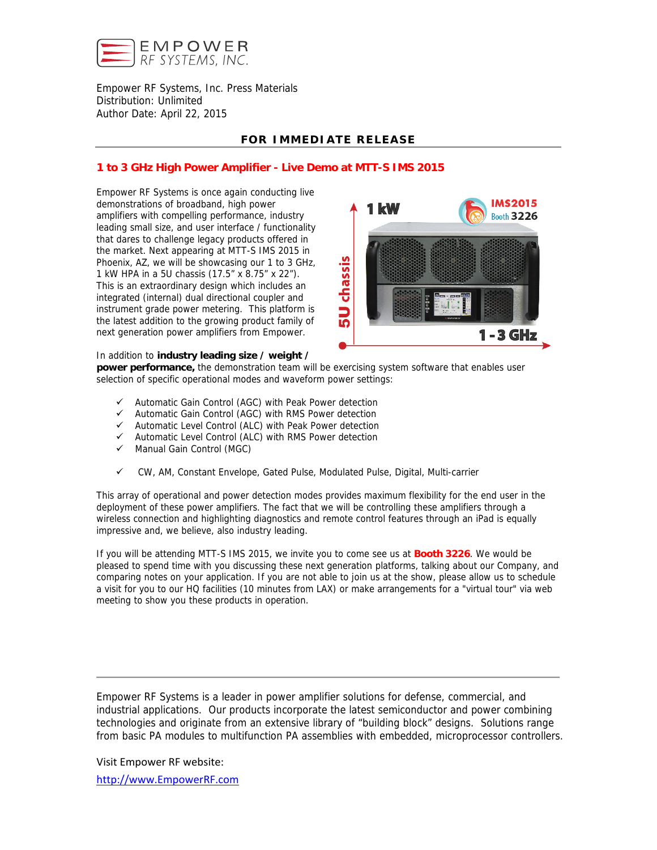

Empower RF Systems, Inc. Press Materials Distribution: Unlimited Author Date: April 22, 2015

## **FOR IMMEDIATE RELEASE**

## **1 to 3 GHz High Power Amplifier - Live Demo at MTT-S IMS 2015**

Empower RF Systems is once again conducting live demonstrations of broadband, high power amplifiers with compelling performance, industry leading small size, and user interface / functionality that dares to challenge legacy products offered in the market. Next appearing at MTT-S IMS 2015 in Phoenix, AZ, we will be showcasing our 1 to 3 GHz, 1 kW HPA in a 5U chassis (17.5" x 8.75" x 22"). This is an extraordinary design which includes an integrated (internal) dual directional coupler and instrument grade power metering. This platform is the latest addition to the growing product family of next generation power amplifiers from Empower.



#### In addition to **industry leading size / weight /**

**power performance,** the demonstration team will be exercising system software that enables user selection of specific operational modes and waveform power settings:

- $\checkmark$  Automatic Gain Control (AGC) with Peak Power detection
- $\checkmark$  Automatic Gain Control (AGC) with RMS Power detection
- $\checkmark$  Automatic Level Control (ALC) with Peak Power detection
- $\checkmark$  Automatic Level Control (ALC) with RMS Power detection
- $\checkmark$  Manual Gain Control (MGC)
- CW, AM, Constant Envelope, Gated Pulse, Modulated Pulse, Digital, Multi-carrier

This array of operational and power detection modes provides maximum flexibility for the end user in the deployment of these power amplifiers. The fact that we will be controlling these amplifiers through a wireless connection and highlighting diagnostics and remote control features through an iPad is equally impressive and, we believe, also industry leading.

If you will be attending MTT-S IMS 2015, we invite you to come see us at **Booth 3226**. We would be pleased to spend time with you discussing these next generation platforms, talking about our Company, and comparing notes on your application. If you are not able to join us at the show, please allow us to schedule a visit for you to our HQ facilities (10 minutes from LAX) or make arrangements for a "virtual tour" via web meeting to show you these products in operation.

Empower RF Systems is a leader in power amplifier solutions for defense, commercial, and industrial applications. Our products incorporate the latest semiconductor and power combining technologies and originate from an extensive library of "building block" designs. Solutions range from basic PA modules to multifunction PA assemblies with embedded, microprocessor controllers.

Visit Empower RF website: http://www.EmpowerRF.com